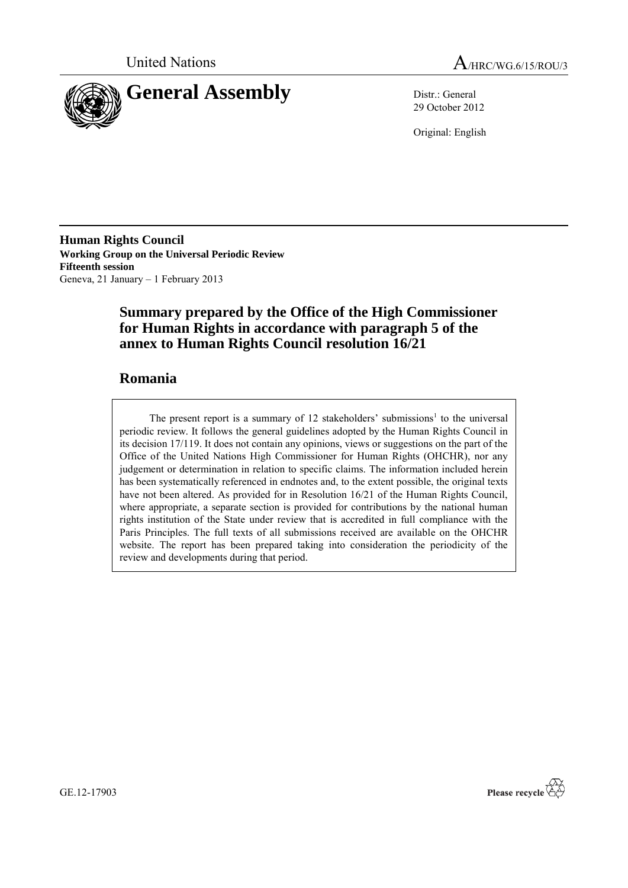



29 October 2012

Original: English

**Human Rights Council Working Group on the Universal Periodic Review Fifteenth session** Geneva, 21 January – 1 February 2013

# **Summary prepared by the Office of the High Commissioner for Human Rights in accordance with paragraph 5 of the annex to Human Rights Council resolution 16/21**

# **Romania**

The present report is a summary of  $12$  stakeholders' submissions<sup>1</sup> to the universal periodic review. It follows the general guidelines adopted by the Human Rights Council in its decision 17/119. It does not contain any opinions, views or suggestions on the part of the Office of the United Nations High Commissioner for Human Rights (OHCHR), nor any judgement or determination in relation to specific claims. The information included herein has been systematically referenced in endnotes and, to the extent possible, the original texts have not been altered. As provided for in Resolution 16/21 of the Human Rights Council, where appropriate, a separate section is provided for contributions by the national human rights institution of the State under review that is accredited in full compliance with the Paris Principles. The full texts of all submissions received are available on the OHCHR website. The report has been prepared taking into consideration the periodicity of the review and developments during that period.

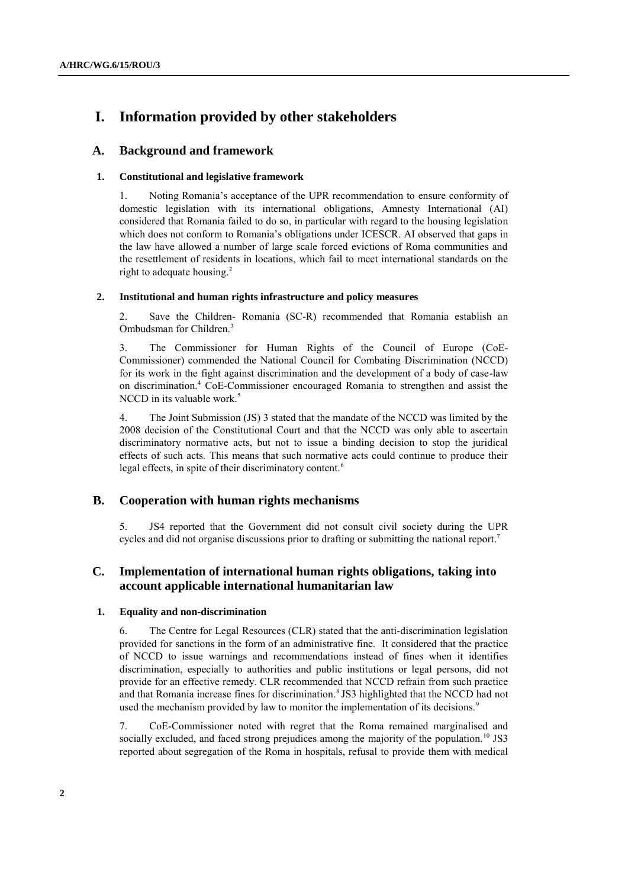# **I. Information provided by other stakeholders**

## **A. Background and framework**

### **1. Constitutional and legislative framework**

1. Noting Romania's acceptance of the UPR recommendation to ensure conformity of domestic legislation with its international obligations, Amnesty International (AI) considered that Romania failed to do so, in particular with regard to the housing legislation which does not conform to Romania's obligations under ICESCR. AI observed that gaps in the law have allowed a number of large scale forced evictions of Roma communities and the resettlement of residents in locations, which fail to meet international standards on the right to adequate housing. 2

### **2. Institutional and human rights infrastructure and policy measures**

2. Save the Children- Romania (SC-R) recommended that Romania establish an Ombudsman for Children. 3

3. The Commissioner for Human Rights of the Council of Europe (CoE-Commissioner) commended the National Council for Combating Discrimination (NCCD) for its work in the fight against discrimination and the development of a body of case-law on discrimination. <sup>4</sup> CoE-Commissioner encouraged Romania to strengthen and assist the NCCD in its valuable work.<sup>5</sup>

4. The Joint Submission (JS) 3 stated that the mandate of the NCCD was limited by the 2008 decision of the Constitutional Court and that the NCCD was only able to ascertain discriminatory normative acts, but not to issue a binding decision to stop the juridical effects of such acts. This means that such normative acts could continue to produce their legal effects, in spite of their discriminatory content.<sup>6</sup>

## **B. Cooperation with human rights mechanisms**

5. JS4 reported that the Government did not consult civil society during the UPR cycles and did not organise discussions prior to drafting or submitting the national report. 7

# **C. Implementation of international human rights obligations, taking into account applicable international humanitarian law**

#### **1. Equality and non-discrimination**

6. The Centre for Legal Resources (CLR) stated that the anti-discrimination legislation provided for sanctions in the form of an administrative fine. It considered that the practice of NCCD to issue warnings and recommendations instead of fines when it identifies discrimination, especially to authorities and public institutions or legal persons, did not provide for an effective remedy. CLR recommended that NCCD refrain from such practice and that Romania increase fines for discrimination. 8 JS3 highlighted that the NCCD had not used the mechanism provided by law to monitor the implementation of its decisions.<sup>9</sup>

7. CoE-Commissioner noted with regret that the Roma remained marginalised and socially excluded, and faced strong prejudices among the majority of the population.<sup>10</sup> JS3 reported about segregation of the Roma in hospitals, refusal to provide them with medical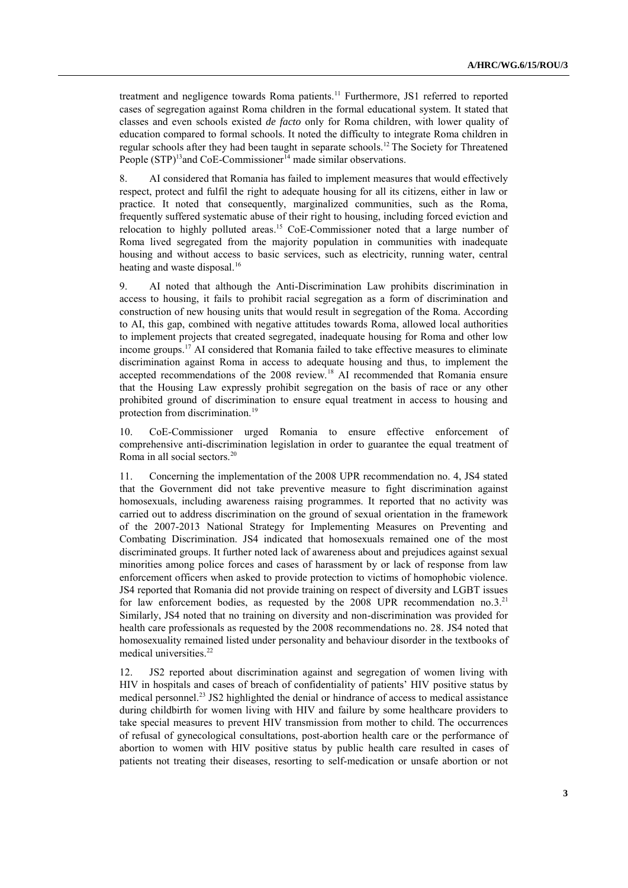treatment and negligence towards Roma patients.<sup>11</sup> Furthermore, JS1 referred to reported cases of segregation against Roma children in the formal educational system. It stated that classes and even schools existed *de facto* only for Roma children, with lower quality of education compared to formal schools. It noted the difficulty to integrate Roma children in regular schools after they had been taught in separate schools.<sup>12</sup> The Society for Threatened People  $(STP)^{13}$  and CoE-Commissioner<sup>14</sup> made similar observations.

8. AI considered that Romania has failed to implement measures that would effectively respect, protect and fulfil the right to adequate housing for all its citizens, either in law or practice. It noted that consequently, marginalized communities, such as the Roma, frequently suffered systematic abuse of their right to housing, including forced eviction and relocation to highly polluted areas.<sup>15</sup> CoE-Commissioner noted that a large number of Roma lived segregated from the majority population in communities with inadequate housing and without access to basic services, such as electricity, running water, central heating and waste disposal.<sup>16</sup>

9. AI noted that although the Anti-Discrimination Law prohibits discrimination in access to housing, it fails to prohibit racial segregation as a form of discrimination and construction of new housing units that would result in segregation of the Roma. According to AI, this gap, combined with negative attitudes towards Roma, allowed local authorities to implement projects that created segregated, inadequate housing for Roma and other low income groups.<sup>17</sup> AI considered that Romania failed to take effective measures to eliminate discrimination against Roma in access to adequate housing and thus, to implement the accepted recommendations of the 2008 review.<sup>18</sup> AI recommended that Romania ensure that the Housing Law expressly prohibit segregation on the basis of race or any other prohibited ground of discrimination to ensure equal treatment in access to housing and protection from discrimination.<sup>19</sup>

10. CoE-Commissioner urged Romania to ensure effective enforcement of comprehensive anti-discrimination legislation in order to guarantee the equal treatment of Roma in all social sectors.<sup>20</sup>

11. Concerning the implementation of the 2008 UPR recommendation no. 4, JS4 stated that the Government did not take preventive measure to fight discrimination against homosexuals, including awareness raising programmes. It reported that no activity was carried out to address discrimination on the ground of sexual orientation in the framework of the 2007-2013 National Strategy for Implementing Measures on Preventing and Combating Discrimination. JS4 indicated that homosexuals remained one of the most discriminated groups. It further noted lack of awareness about and prejudices against sexual minorities among police forces and cases of harassment by or lack of response from law enforcement officers when asked to provide protection to victims of homophobic violence. JS4 reported that Romania did not provide training on respect of diversity and LGBT issues for law enforcement bodies, as requested by the 2008 UPR recommendation no.3.<sup>21</sup> Similarly, JS4 noted that no training on diversity and non-discrimination was provided for health care professionals as requested by the 2008 recommendations no. 28. JS4 noted that homosexuality remained listed under personality and behaviour disorder in the textbooks of medical universities.<sup>22</sup>

12. JS2 reported about discrimination against and segregation of women living with HIV in hospitals and cases of breach of confidentiality of patients' HIV positive status by medical personnel.<sup>23</sup> JS2 highlighted the denial or hindrance of access to medical assistance during childbirth for women living with HIV and failure by some healthcare providers to take special measures to prevent HIV transmission from mother to child. The occurrences of refusal of gynecological consultations, post-abortion health care or the performance of abortion to women with HIV positive status by public health care resulted in cases of patients not treating their diseases, resorting to self-medication or unsafe abortion or not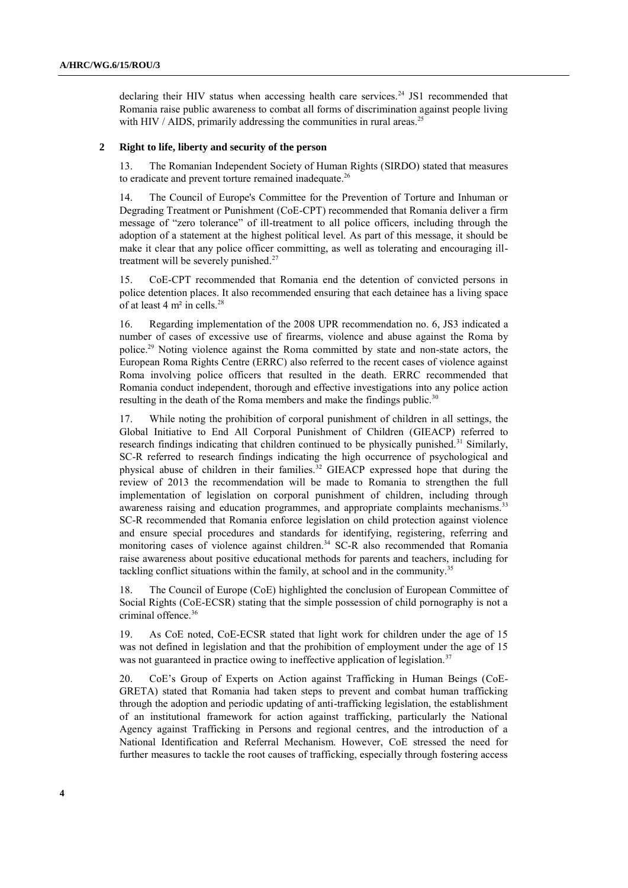declaring their HIV status when accessing health care services.<sup>24</sup> JS1 recommended that Romania raise public awareness to combat all forms of discrimination against people living with HIV / AIDS, primarily addressing the communities in rural areas.<sup>25</sup>

#### **2 Right to life, liberty and security of the person**

13. The Romanian Independent Society of Human Rights (SIRDO) stated that measures to eradicate and prevent torture remained inadequate.<sup>26</sup>

14. The Council of Europe's Committee for the Prevention of Torture and Inhuman or Degrading Treatment or Punishment (CoE-CPT) recommended that Romania deliver a firm message of "zero tolerance" of ill-treatment to all police officers, including through the adoption of a statement at the highest political level. As part of this message, it should be make it clear that any police officer committing, as well as tolerating and encouraging illtreatment will be severely punished.<sup>27</sup>

15. CoE-CPT recommended that Romania end the detention of convicted persons in police detention places. It also recommended ensuring that each detainee has a living space of at least 4 m<sup>2</sup> in cells.<sup>28</sup>

16. Regarding implementation of the 2008 UPR recommendation no. 6, JS3 indicated a number of cases of excessive use of firearms, violence and abuse against the Roma by police.<sup>29</sup> Noting violence against the Roma committed by state and non-state actors, the European Roma Rights Centre (ERRC) also referred to the recent cases of violence against Roma involving police officers that resulted in the death. ERRC recommended that Romania conduct independent, thorough and effective investigations into any police action resulting in the death of the Roma members and make the findings public.<sup>30</sup>

17. While noting the prohibition of corporal punishment of children in all settings, the Global Initiative to End All Corporal Punishment of Children (GIEACP) referred to research findings indicating that children continued to be physically punished.<sup>31</sup> Similarly, SC-R referred to research findings indicating the high occurrence of psychological and physical abuse of children in their families.<sup>32</sup> GIEACP expressed hope that during the review of 2013 the recommendation will be made to Romania to strengthen the full implementation of legislation on corporal punishment of children, including through awareness raising and education programmes, and appropriate complaints mechanisms.<sup>33</sup> SC-R recommended that Romania enforce legislation on child protection against violence and ensure special procedures and standards for identifying, registering, referring and monitoring cases of violence against children. <sup>34</sup> SC-R also recommended that Romania raise awareness about positive educational methods for parents and teachers, including for tackling conflict situations within the family, at school and in the community.<sup>35</sup>

18. The Council of Europe (CoE) highlighted the conclusion of European Committee of Social Rights (CoE-ECSR) stating that the simple possession of child pornography is not a criminal offence.<sup>36</sup>

19. As CoE noted, CoE-ECSR stated that light work for children under the age of 15 was not defined in legislation and that the prohibition of employment under the age of 15 was not guaranteed in practice owing to ineffective application of legislation.<sup>37</sup>

20. CoE's Group of Experts on Action against Trafficking in Human Beings (CoE-GRETA) stated that Romania had taken steps to prevent and combat human trafficking through the adoption and periodic updating of anti-trafficking legislation, the establishment of an institutional framework for action against trafficking, particularly the National Agency against Trafficking in Persons and regional centres, and the introduction of a National Identification and Referral Mechanism. However, CoE stressed the need for further measures to tackle the root causes of trafficking, especially through fostering access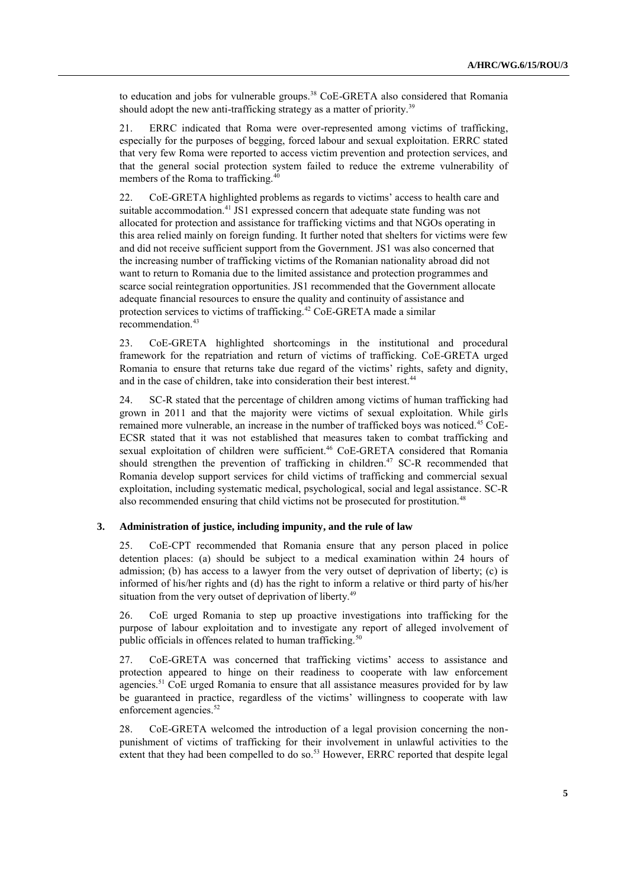to education and jobs for vulnerable groups.<sup>38</sup> CoE-GRETA also considered that Romania should adopt the new anti-trafficking strategy as a matter of priority.<sup>39</sup>

21. ERRC indicated that Roma were over-represented among victims of trafficking, especially for the purposes of begging, forced labour and sexual exploitation. ERRC stated that very few Roma were reported to access victim prevention and protection services, and that the general social protection system failed to reduce the extreme vulnerability of members of the Roma to trafficking.<sup>40</sup>

22. CoE-GRETA highlighted problems as regards to victims' access to health care and suitable accommodation.<sup>41</sup> JS1 expressed concern that adequate state funding was not allocated for protection and assistance for trafficking victims and that NGOs operating in this area relied mainly on foreign funding. It further noted that shelters for victims were few and did not receive sufficient support from the Government. JS1 was also concerned that the increasing number of trafficking victims of the Romanian nationality abroad did not want to return to Romania due to the limited assistance and protection programmes and scarce social reintegration opportunities. JS1 recommended that the Government allocate adequate financial resources to ensure the quality and continuity of assistance and protection services to victims of trafficking.<sup>42</sup> CoE-GRETA made a similar recommendation.<sup>43</sup>

23. CoE-GRETA highlighted shortcomings in the institutional and procedural framework for the repatriation and return of victims of trafficking. CoE-GRETA urged Romania to ensure that returns take due regard of the victims' rights, safety and dignity, and in the case of children, take into consideration their best interest.<sup>44</sup>

24. SC-R stated that the percentage of children among victims of human trafficking had grown in 2011 and that the majority were victims of sexual exploitation. While girls remained more vulnerable, an increase in the number of trafficked boys was noticed.<sup>45</sup> CoE-ECSR stated that it was not established that measures taken to combat trafficking and sexual exploitation of children were sufficient.<sup>46</sup> CoE-GRETA considered that Romania should strengthen the prevention of trafficking in children.<sup>47</sup> SC-R recommended that Romania develop support services for child victims of trafficking and commercial sexual exploitation, including systematic medical, psychological, social and legal assistance. SC-R also recommended ensuring that child victims not be prosecuted for prostitution.<sup>48</sup>

## **3. Administration of justice, including impunity, and the rule of law**

25. CoE-CPT recommended that Romania ensure that any person placed in police detention places: (a) should be subject to a medical examination within 24 hours of admission; (b) has access to a lawyer from the very outset of deprivation of liberty; (c) is informed of his/her rights and (d) has the right to inform a relative or third party of his/her situation from the very outset of deprivation of liberty.<sup>49</sup>

26. CoE urged Romania to step up proactive investigations into trafficking for the purpose of labour exploitation and to investigate any report of alleged involvement of public officials in offences related to human trafficking.<sup>50</sup>

27. CoE-GRETA was concerned that trafficking victims' access to assistance and protection appeared to hinge on their readiness to cooperate with law enforcement agencies.<sup>51</sup> CoE urged Romania to ensure that all assistance measures provided for by law be guaranteed in practice, regardless of the victims' willingness to cooperate with law enforcement agencies.<sup>52</sup>

28. CoE-GRETA welcomed the introduction of a legal provision concerning the nonpunishment of victims of trafficking for their involvement in unlawful activities to the extent that they had been compelled to do so.<sup>53</sup> However, ERRC reported that despite legal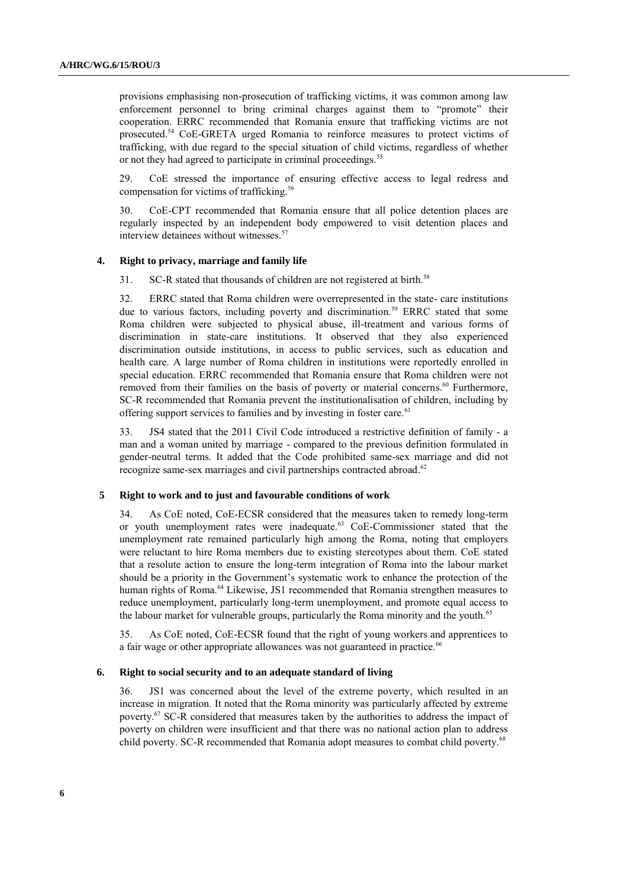provisions emphasising non-prosecution of trafficking victims, it was common among law enforcement personnel to bring criminal charges against them to "promote" their cooperation. ERRC recommended that Romania ensure that trafficking victims are not prosecuted.<sup>54</sup> CoE-GRETA urged Romania to reinforce measures to protect victims of trafficking, with due regard to the special situation of child victims, regardless of whether or not they had agreed to participate in criminal proceedings.<sup>55</sup>

29. CoE stressed the importance of ensuring effective access to legal redress and compensation for victims of trafficking.<sup>56</sup>

30. CoE-CPT recommended that Romania ensure that all police detention places are regularly inspected by an independent body empowered to visit detention places and interview detainees without witnesses. 57

#### **4. Right to privacy, marriage and family life**

31. SC-R stated that thousands of children are not registered at birth.<sup>58</sup>

32. ERRC stated that Roma children were overrepresented in the state- care institutions due to various factors, including poverty and discrimination.<sup>59</sup> ERRC stated that some Roma children were subjected to physical abuse, ill-treatment and various forms of discrimination in state-care institutions. It observed that they also experienced discrimination outside institutions, in access to public services, such as education and health care. A large number of Roma children in institutions were reportedly enrolled in special education. ERRC recommended that Romania ensure that Roma children were not removed from their families on the basis of poverty or material concerns. <sup>60</sup> Furthermore, SC-R recommended that Romania prevent the institutionalisation of children, including by offering support services to families and by investing in foster care.<sup>61</sup>

33. JS4 stated that the 2011 Civil Code introduced a restrictive definition of family - a man and a woman united by marriage - compared to the previous definition formulated in gender-neutral terms. It added that the Code prohibited same-sex marriage and did not recognize same-sex marriages and civil partnerships contracted abroad.<sup>62</sup>

#### **5 Right to work and to just and favourable conditions of work**

34. As CoE noted, CoE-ECSR considered that the measures taken to remedy long-term or youth unemployment rates were inadequate.<sup>63</sup> CoE-Commissioner stated that the unemployment rate remained particularly high among the Roma, noting that employers were reluctant to hire Roma members due to existing stereotypes about them. CoE stated that a resolute action to ensure the long-term integration of Roma into the labour market should be a priority in the Government's systematic work to enhance the protection of the human rights of Roma.<sup>64</sup> Likewise, JS1 recommended that Romania strengthen measures to reduce unemployment, particularly long-term unemployment, and promote equal access to the labour market for vulnerable groups, particularly the Roma minority and the youth.<sup>65</sup>

35. As CoE noted, CoE-ECSR found that the right of young workers and apprentices to a fair wage or other appropriate allowances was not guaranteed in practice.<sup>66</sup>

#### **6. Right to social security and to an adequate standard of living**

36. JS1 was concerned about the level of the extreme poverty, which resulted in an increase in migration. It noted that the Roma minority was particularly affected by extreme poverty.<sup>67</sup> SC-R considered that measures taken by the authorities to address the impact of poverty on children were insufficient and that there was no national action plan to address child poverty. SC-R recommended that Romania adopt measures to combat child poverty.<sup>68</sup>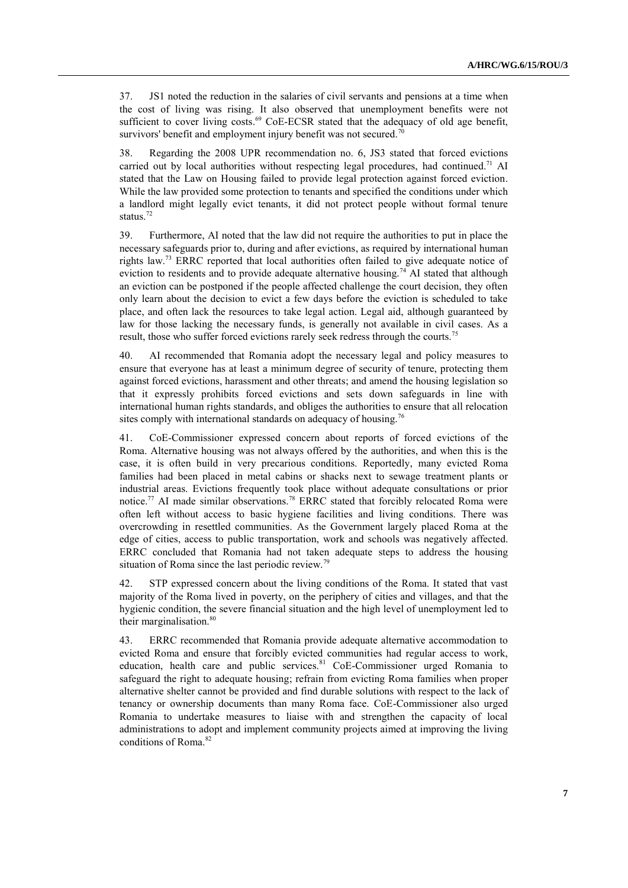37. JS1 noted the reduction in the salaries of civil servants and pensions at a time when the cost of living was rising. It also observed that unemployment benefits were not sufficient to cover living costs. $^{69}$  CoE-ECSR stated that the adequacy of old age benefit, survivors' benefit and employment injury benefit was not secured.<sup>70</sup>

38. Regarding the 2008 UPR recommendation no. 6, JS3 stated that forced evictions carried out by local authorities without respecting legal procedures, had continued.<sup>71</sup> AI stated that the Law on Housing failed to provide legal protection against forced eviction. While the law provided some protection to tenants and specified the conditions under which a landlord might legally evict tenants, it did not protect people without formal tenure status. 72

39. Furthermore, AI noted that the law did not require the authorities to put in place the necessary safeguards prior to, during and after evictions, as required by international human rights law.<sup>73</sup> ERRC reported that local authorities often failed to give adequate notice of eviction to residents and to provide adequate alternative housing.<sup>74</sup> AI stated that although an eviction can be postponed if the people affected challenge the court decision, they often only learn about the decision to evict a few days before the eviction is scheduled to take place, and often lack the resources to take legal action. Legal aid, although guaranteed by law for those lacking the necessary funds, is generally not available in civil cases. As a result, those who suffer forced evictions rarely seek redress through the courts.<sup>75</sup>

40. AI recommended that Romania adopt the necessary legal and policy measures to ensure that everyone has at least a minimum degree of security of tenure, protecting them against forced evictions, harassment and other threats; and amend the housing legislation so that it expressly prohibits forced evictions and sets down safeguards in line with international human rights standards, and obliges the authorities to ensure that all relocation sites comply with international standards on adequacy of housing.<sup>76</sup>

41. CoE-Commissioner expressed concern about reports of forced evictions of the Roma. Alternative housing was not always offered by the authorities, and when this is the case, it is often build in very precarious conditions. Reportedly, many evicted Roma families had been placed in metal cabins or shacks next to sewage treatment plants or industrial areas. Evictions frequently took place without adequate consultations or prior notice.<sup>77</sup> AI made similar observations.<sup>78</sup> ERRC stated that forcibly relocated Roma were often left without access to basic hygiene facilities and living conditions. There was overcrowding in resettled communities. As the Government largely placed Roma at the edge of cities, access to public transportation, work and schools was negatively affected. ERRC concluded that Romania had not taken adequate steps to address the housing situation of Roma since the last periodic review.<sup>79</sup>

42. STP expressed concern about the living conditions of the Roma. It stated that vast majority of the Roma lived in poverty, on the periphery of cities and villages, and that the hygienic condition, the severe financial situation and the high level of unemployment led to their marginalisation.<sup>80</sup>

43. ERRC recommended that Romania provide adequate alternative accommodation to evicted Roma and ensure that forcibly evicted communities had regular access to work, education, health care and public services.<sup>81</sup> CoE-Commissioner urged Romania to safeguard the right to adequate housing; refrain from evicting Roma families when proper alternative shelter cannot be provided and find durable solutions with respect to the lack of tenancy or ownership documents than many Roma face. CoE-Commissioner also urged Romania to undertake measures to liaise with and strengthen the capacity of local administrations to adopt and implement community projects aimed at improving the living conditions of Roma. 82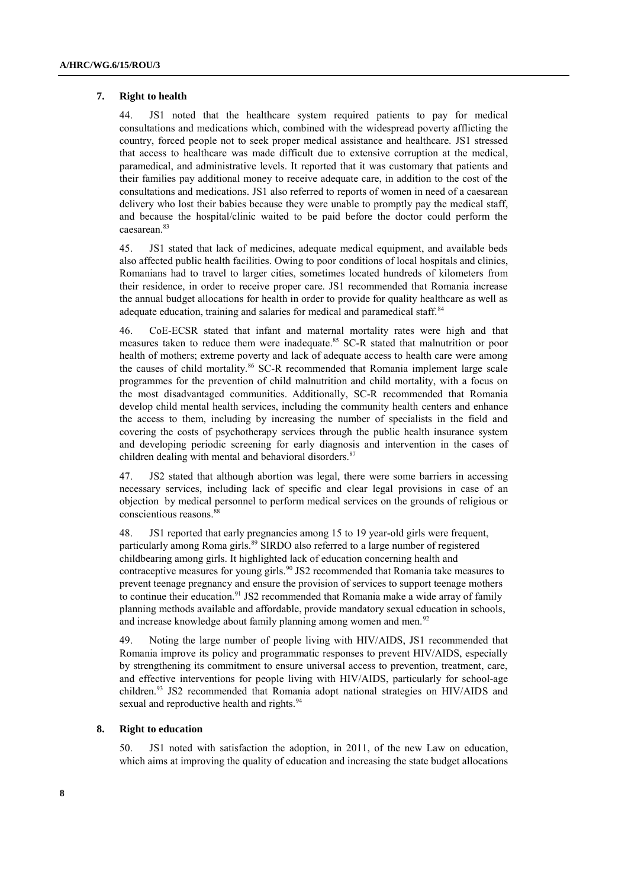#### **7. Right to health**

44. JS1 noted that the healthcare system required patients to pay for medical consultations and medications which, combined with the widespread poverty afflicting the country, forced people not to seek proper medical assistance and healthcare. JS1 stressed that access to healthcare was made difficult due to extensive corruption at the medical, paramedical, and administrative levels. It reported that it was customary that patients and their families pay additional money to receive adequate care, in addition to the cost of the consultations and medications. JS1 also referred to reports of women in need of a caesarean delivery who lost their babies because they were unable to promptly pay the medical staff, and because the hospital/clinic waited to be paid before the doctor could perform the caesarean.<sup>83</sup>

45. JS1 stated that lack of medicines, adequate medical equipment, and available beds also affected public health facilities. Owing to poor conditions of local hospitals and clinics, Romanians had to travel to larger cities, sometimes located hundreds of kilometers from their residence, in order to receive proper care. JS1 recommended that Romania increase the annual budget allocations for health in order to provide for quality healthcare as well as adequate education, training and salaries for medical and paramedical staff.<sup>84</sup>

46. CoE-ECSR stated that infant and maternal mortality rates were high and that measures taken to reduce them were inadequate.<sup>85</sup> SC-R stated that malnutrition or poor health of mothers; extreme poverty and lack of adequate access to health care were among the causes of child mortality.<sup>86</sup> SC-R recommended that Romania implement large scale programmes for the prevention of child malnutrition and child mortality, with a focus on the most disadvantaged communities. Additionally, SC-R recommended that Romania develop child mental health services, including the community health centers and enhance the access to them, including by increasing the number of specialists in the field and covering the costs of psychotherapy services through the public health insurance system and developing periodic screening for early diagnosis and intervention in the cases of children dealing with mental and behavioral disorders.<sup>87</sup>

47. JS2 stated that although abortion was legal, there were some barriers in accessing necessary services, including lack of specific and clear legal provisions in case of an objection by medical personnel to perform medical services on the grounds of religious or conscientious reasons.<sup>88</sup>

48. JS1 reported that early pregnancies among 15 to 19 year-old girls were frequent, particularly among Roma girls.<sup>89</sup> SIRDO also referred to a large number of registered childbearing among girls. It highlighted lack of education concerning health and contraceptive measures for young girls.<sup>90</sup> JS2 recommended that Romania take measures to prevent teenage pregnancy and ensure the provision of services to support teenage mothers to continue their education.<sup>91</sup> JS2 recommended that Romania make a wide array of family planning methods available and affordable, provide mandatory sexual education in schools, and increase knowledge about family planning among women and men.<sup>92</sup>

49. Noting the large number of people living with HIV/AIDS, JS1 recommended that Romania improve its policy and programmatic responses to prevent HIV/AIDS, especially by strengthening its commitment to ensure universal access to prevention, treatment, care, and effective interventions for people living with HIV/AIDS, particularly for school-age children.<sup>93</sup> JS2 recommended that Romania adopt national strategies on HIV/AIDS and sexual and reproductive health and rights.<sup>94</sup>

#### **8. Right to education**

50. JS1 noted with satisfaction the adoption, in 2011, of the new Law on education, which aims at improving the quality of education and increasing the state budget allocations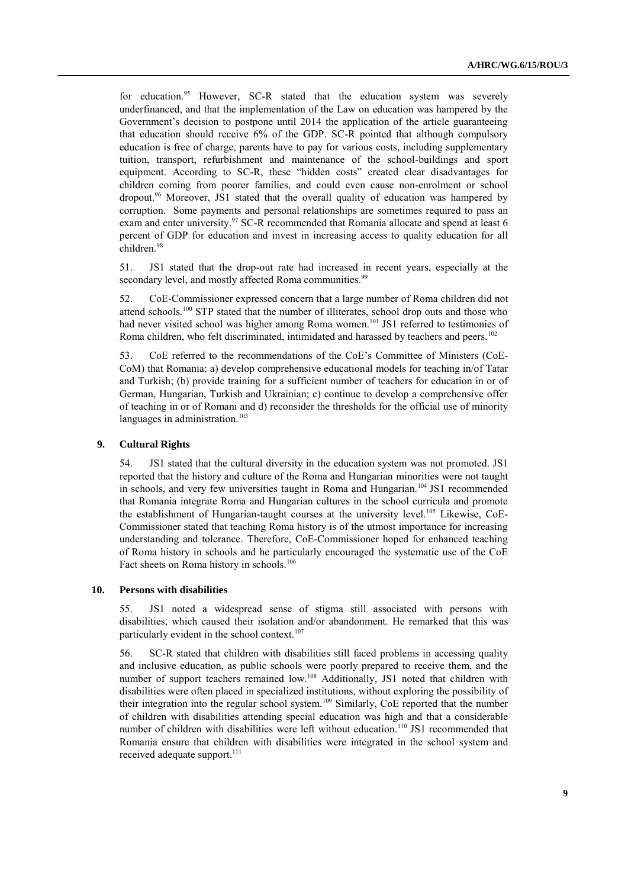for education.<sup>95</sup> However, SC-R stated that the education system was severely underfinanced, and that the implementation of the Law on education was hampered by the Government's decision to postpone until 2014 the application of the article guaranteeing that education should receive 6% of the GDP. SC-R pointed that although compulsory education is free of charge, parents have to pay for various costs, including supplementary tuition, transport, refurbishment and maintenance of the school-buildings and sport equipment. According to SC-R, these "hidden costs" created clear disadvantages for children coming from poorer families, and could even cause non-enrolment or school dropout.<sup>96</sup> Moreover, JS1 stated that the overall quality of education was hampered by corruption. Some payments and personal relationships are sometimes required to pass an exam and enter university.<sup>97</sup> SC-R recommended that Romania allocate and spend at least 6 percent of GDP for education and invest in increasing access to quality education for all children.<sup>98</sup>

51. JS1 stated that the drop-out rate had increased in recent years, especially at the secondary level, and mostly affected Roma communities.<sup>99</sup>

52. CoE-Commissioner expressed concern that a large number of Roma children did not attend schools.<sup>100</sup> STP stated that the number of illiterates, school drop outs and those who had never visited school was higher among Roma women.<sup>101</sup> JS1 referred to testimonies of Roma children, who felt discriminated, intimidated and harassed by teachers and peers.<sup>102</sup>

53. CoE referred to the recommendations of the CoE's Committee of Ministers (CoE-CoM) that Romania: a) develop comprehensive educational models for teaching in/of Tatar and Turkish; (b) provide training for a sufficient number of teachers for education in or of German, Hungarian, Turkish and Ukrainian; c) continue to develop a comprehensive offer of teaching in or of Romani and d) reconsider the thresholds for the official use of minority languages in administration.<sup>103</sup>

### **9. Cultural Rights**

54. JS1 stated that the cultural diversity in the education system was not promoted. JS1 reported that the history and culture of the Roma and Hungarian minorities were not taught in schools, and very few universities taught in Roma and Hungarian.<sup>104</sup> JS1 recommended that Romania integrate Roma and Hungarian cultures in the school curricula and promote the establishment of Hungarian-taught courses at the university level.<sup>105</sup> Likewise, CoE-Commissioner stated that teaching Roma history is of the utmost importance for increasing understanding and tolerance. Therefore, CoE-Commissioner hoped for enhanced teaching of Roma history in schools and he particularly encouraged the systematic use of the CoE Fact sheets on Roma history in schools.<sup>106</sup>

#### **10. Persons with disabilities**

55. JS1 noted a widespread sense of stigma still associated with persons with disabilities, which caused their isolation and/or abandonment. He remarked that this was particularly evident in the school context.<sup>107</sup>

56. SC-R stated that children with disabilities still faced problems in accessing quality and inclusive education, as public schools were poorly prepared to receive them, and the number of support teachers remained low.<sup>108</sup> Additionally, JS1 noted that children with disabilities were often placed in specialized institutions, without exploring the possibility of their integration into the regular school system.<sup>109</sup> Similarly, CoE reported that the number of children with disabilities attending special education was high and that a considerable number of children with disabilities were left without education.<sup>110</sup> JS1 recommended that Romania ensure that children with disabilities were integrated in the school system and received adequate support.<sup>111</sup>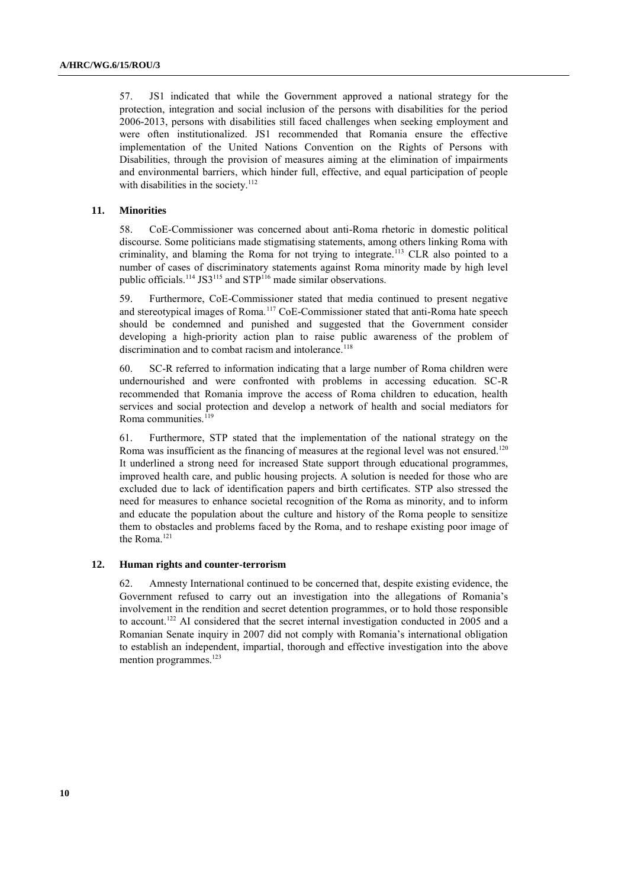57. JS1 indicated that while the Government approved a national strategy for the protection, integration and social inclusion of the persons with disabilities for the period 2006-2013, persons with disabilities still faced challenges when seeking employment and were often institutionalized. JS1 recommended that Romania ensure the effective implementation of the United Nations Convention on the Rights of Persons with Disabilities, through the provision of measures aiming at the elimination of impairments and environmental barriers, which hinder full, effective, and equal participation of people with disabilities in the society. $112$ 

#### **11. Minorities**

58. CoE-Commissioner was concerned about anti-Roma rhetoric in domestic political discourse. Some politicians made stigmatising statements, among others linking Roma with criminality, and blaming the Roma for not trying to integrate.<sup>113</sup> CLR also pointed to a number of cases of discriminatory statements against Roma minority made by high level public officials.<sup>114</sup> JS3<sup>115</sup> and STP<sup>116</sup> made similar observations.

59. Furthermore, CoE-Commissioner stated that media continued to present negative and stereotypical images of Roma.<sup>117</sup> CoE-Commissioner stated that anti-Roma hate speech should be condemned and punished and suggested that the Government consider developing a high-priority action plan to raise public awareness of the problem of discrimination and to combat racism and intolerance.<sup>118</sup>

60. SC-R referred to information indicating that a large number of Roma children were undernourished and were confronted with problems in accessing education. SC-R recommended that Romania improve the access of Roma children to education, health services and social protection and develop a network of health and social mediators for Roma communities.<sup>119</sup>

61. Furthermore, STP stated that the implementation of the national strategy on the Roma was insufficient as the financing of measures at the regional level was not ensured.<sup>120</sup> It underlined a strong need for increased State support through educational programmes, improved health care, and public housing projects. A solution is needed for those who are excluded due to lack of identification papers and birth certificates. STP also stressed the need for measures to enhance societal recognition of the Roma as minority, and to inform and educate the population about the culture and history of the Roma people to sensitize them to obstacles and problems faced by the Roma, and to reshape existing poor image of the Roma.<sup>121</sup>

#### **12. Human rights and counter-terrorism**

62. Amnesty International continued to be concerned that, despite existing evidence, the Government refused to carry out an investigation into the allegations of Romania's involvement in the rendition and secret detention programmes, or to hold those responsible to account.<sup>122</sup> AI considered that the secret internal investigation conducted in 2005 and a Romanian Senate inquiry in 2007 did not comply with Romania's international obligation to establish an independent, impartial, thorough and effective investigation into the above mention programmes.<sup>123</sup>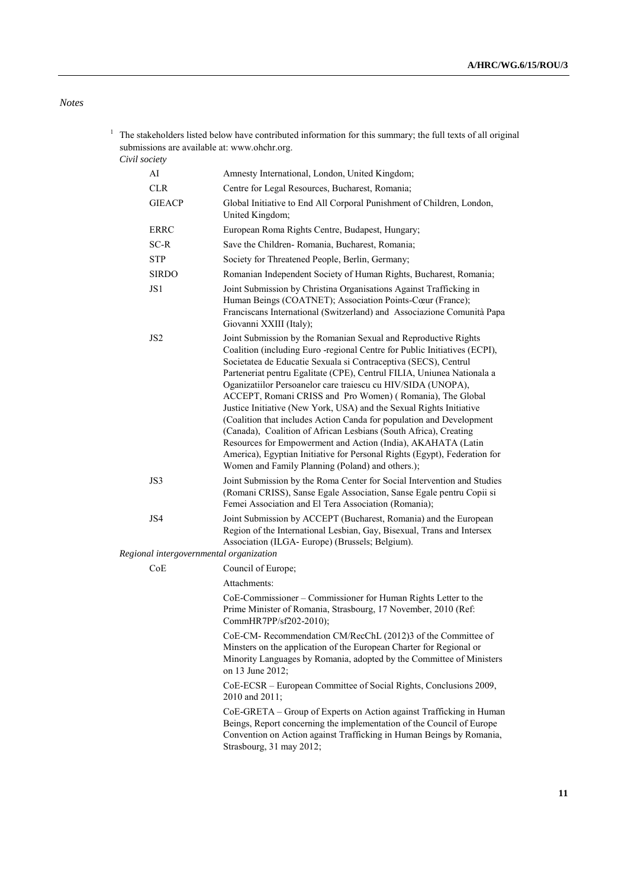# *Notes*

<sup>1</sup> The stakeholders listed below have contributed information for this summary; the full texts of all original submissions are available at: [www.ohchr.org.](http://www.ohchr.org/) *Civil society*

| AI                                      | Amnesty International, London, United Kingdom;                                                                                                                                                                                                                                                                                                                                                                                                                                                                                                                                                                                                                                                                                                                                                                                             |
|-----------------------------------------|--------------------------------------------------------------------------------------------------------------------------------------------------------------------------------------------------------------------------------------------------------------------------------------------------------------------------------------------------------------------------------------------------------------------------------------------------------------------------------------------------------------------------------------------------------------------------------------------------------------------------------------------------------------------------------------------------------------------------------------------------------------------------------------------------------------------------------------------|
| <b>CLR</b>                              | Centre for Legal Resources, Bucharest, Romania;                                                                                                                                                                                                                                                                                                                                                                                                                                                                                                                                                                                                                                                                                                                                                                                            |
| <b>GIEACP</b>                           | Global Initiative to End All Corporal Punishment of Children, London,<br>United Kingdom;                                                                                                                                                                                                                                                                                                                                                                                                                                                                                                                                                                                                                                                                                                                                                   |
| <b>ERRC</b>                             | European Roma Rights Centre, Budapest, Hungary;                                                                                                                                                                                                                                                                                                                                                                                                                                                                                                                                                                                                                                                                                                                                                                                            |
| $SC-R$                                  | Save the Children-Romania, Bucharest, Romania;                                                                                                                                                                                                                                                                                                                                                                                                                                                                                                                                                                                                                                                                                                                                                                                             |
| <b>STP</b>                              | Society for Threatened People, Berlin, Germany;                                                                                                                                                                                                                                                                                                                                                                                                                                                                                                                                                                                                                                                                                                                                                                                            |
| <b>SIRDO</b>                            | Romanian Independent Society of Human Rights, Bucharest, Romania;                                                                                                                                                                                                                                                                                                                                                                                                                                                                                                                                                                                                                                                                                                                                                                          |
| JS1                                     | Joint Submission by Christina Organisations Against Trafficking in<br>Human Beings (COATNET); Association Points-Cœur (France);<br>Franciscans International (Switzerland) and Associazione Comunità Papa<br>Giovanni XXIII (Italy);                                                                                                                                                                                                                                                                                                                                                                                                                                                                                                                                                                                                       |
| JS <sub>2</sub>                         | Joint Submission by the Romanian Sexual and Reproductive Rights<br>Coalition (including Euro -regional Centre for Public Initiatives (ECPI),<br>Societatea de Educatie Sexuala si Contraceptiva (SECS), Centrul<br>Parteneriat pentru Egalitate (CPE), Centrul FILIA, Uniunea Nationala a<br>Oganizatiilor Persoanelor care traiescu cu HIV/SIDA (UNOPA),<br>ACCEPT, Romani CRISS and Pro Women) (Romania), The Global<br>Justice Initiative (New York, USA) and the Sexual Rights Initiative<br>(Coalition that includes Action Canda for population and Development<br>(Canada), Coalition of African Lesbians (South Africa), Creating<br>Resources for Empowerment and Action (India), AKAHATA (Latin<br>America), Egyptian Initiative for Personal Rights (Egypt), Federation for<br>Women and Family Planning (Poland) and others.); |
| JS3                                     | Joint Submission by the Roma Center for Social Intervention and Studies<br>(Romani CRISS), Sanse Egale Association, Sanse Egale pentru Copii si<br>Femei Association and El Tera Association (Romania);                                                                                                                                                                                                                                                                                                                                                                                                                                                                                                                                                                                                                                    |
| JS4                                     | Joint Submission by ACCEPT (Bucharest, Romania) and the European<br>Region of the International Lesbian, Gay, Bisexual, Trans and Intersex<br>Association (ILGA-Europe) (Brussels; Belgium).                                                                                                                                                                                                                                                                                                                                                                                                                                                                                                                                                                                                                                               |
| Regional intergovernmental organization |                                                                                                                                                                                                                                                                                                                                                                                                                                                                                                                                                                                                                                                                                                                                                                                                                                            |
| CoE                                     | Council of Europe;                                                                                                                                                                                                                                                                                                                                                                                                                                                                                                                                                                                                                                                                                                                                                                                                                         |
|                                         | Attachments:                                                                                                                                                                                                                                                                                                                                                                                                                                                                                                                                                                                                                                                                                                                                                                                                                               |
|                                         | CoE-Commissioner - Commissioner for Human Rights Letter to the<br>Prime Minister of Romania, Strasbourg, 17 November, 2010 (Ref:<br>CommHR7PP/sf202-2010);                                                                                                                                                                                                                                                                                                                                                                                                                                                                                                                                                                                                                                                                                 |
|                                         | CoE-CM- Recommendation CM/RecChL (2012)3 of the Committee of<br>Minsters on the application of the European Charter for Regional or<br>Minority Languages by Romania, adopted by the Committee of Ministers<br>on 13 June 2012;                                                                                                                                                                                                                                                                                                                                                                                                                                                                                                                                                                                                            |
|                                         | CoE-ECSR - European Committee of Social Rights, Conclusions 2009,<br>2010 and 2011;                                                                                                                                                                                                                                                                                                                                                                                                                                                                                                                                                                                                                                                                                                                                                        |
|                                         | CoE-GRETA - Group of Experts on Action against Trafficking in Human<br>Beings, Report concerning the implementation of the Council of Europe<br>Convention on Action against Trafficking in Human Beings by Romania,<br>Strasbourg, 31 may 2012;                                                                                                                                                                                                                                                                                                                                                                                                                                                                                                                                                                                           |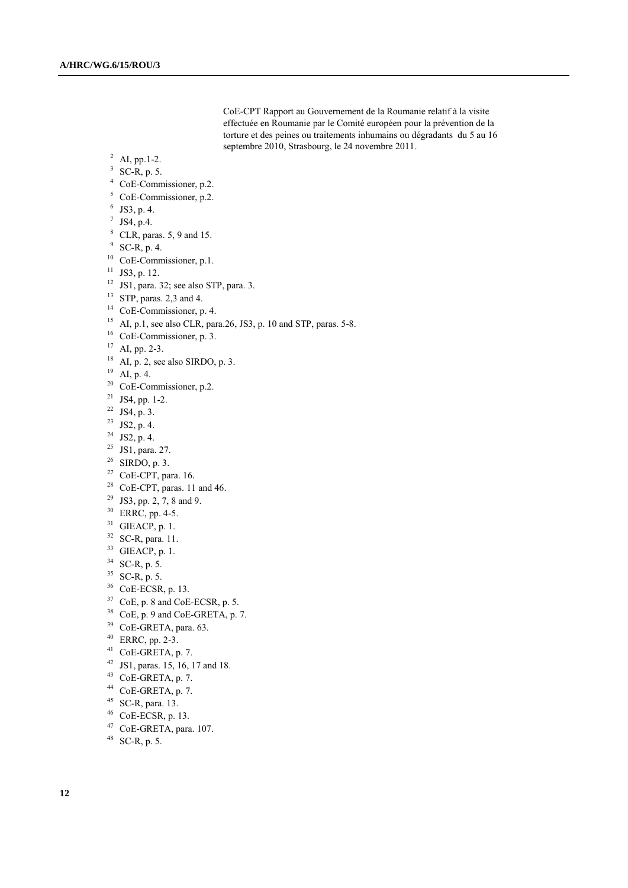CoE-CPT Rapport au Gouvernement de la Roumanie relatif à la visite effectuée en Roumanie par le Comité européen pour la prévention de la torture et des peines ou traitements inhumains ou dégradants du 5 au 16 septembre 2010, Strasbourg, le 24 novembre 2011.

 $^{2}$  AI, pp.1-2.

## SC-R, p. 5.

- CoE-Commissioner, p.2.
- CoE-Commissioner, p.2.
- JS3, p. 4.
- $^7$  JS4, p.4.
- CLR, paras. 5, 9 and 15.
- SC-R, p. 4.
- <sup>10</sup> CoE-Commissioner, p.1.
- JS3, p. 12.
- JS1, para. 32; see also STP, para. 3.
- <sup>13</sup> STP, paras. 2,3 and 4.
- <sup>14</sup> CoE-Commissioner, p. 4.
- <sup>15</sup> AI, p.1, see also CLR, para.26, JS3, p. 10 and STP, paras. 5-8.
- CoE-Commissioner, p. 3.
- AI, pp. 2-3.
- AI, p. 2, see also SIRDO, p. 3.
- $^{19}$  AI, p. 4.
- CoE-Commissioner, p.2.
- JS4, pp. 1-2.
- JS4, p. 3.
- JS2, p. 4.
- JS2, p. 4.
- JS1, para. 27.
- SIRDO, p. 3.
- CoE-CPT, para. 16.
- CoE-CPT, paras. 11 and 46.
- <sup>29</sup> JS3, pp. 2, 7, 8 and 9.
- ERRC, pp. 4-5.
- GIEACP, p. 1.
- SC-R, para. 11.
- GIEACP, p. 1.
- SC-R, p. 5.
- SC-R, p. 5.
- CoE-ECSR, p. 13.
- CoE, p. 8 and CoE-ECSR, p. 5.
- 
- CoE, p. 9 and CoE-GRETA, p. 7. <sup>39</sup> CoE-GRETA, para. 63.
- 
- ERRC, pp. 2-3.
- CoE-GRETA, p. 7.
- JS1, paras. 15, 16, 17 and 18.
- CoE-GRETA, p. 7.
- CoE-GRETA, p. 7.
- SC-R, para. 13.
- CoE-ECSR, p. 13.
- CoE-GRETA, para. 107.
- SC-R, p. 5.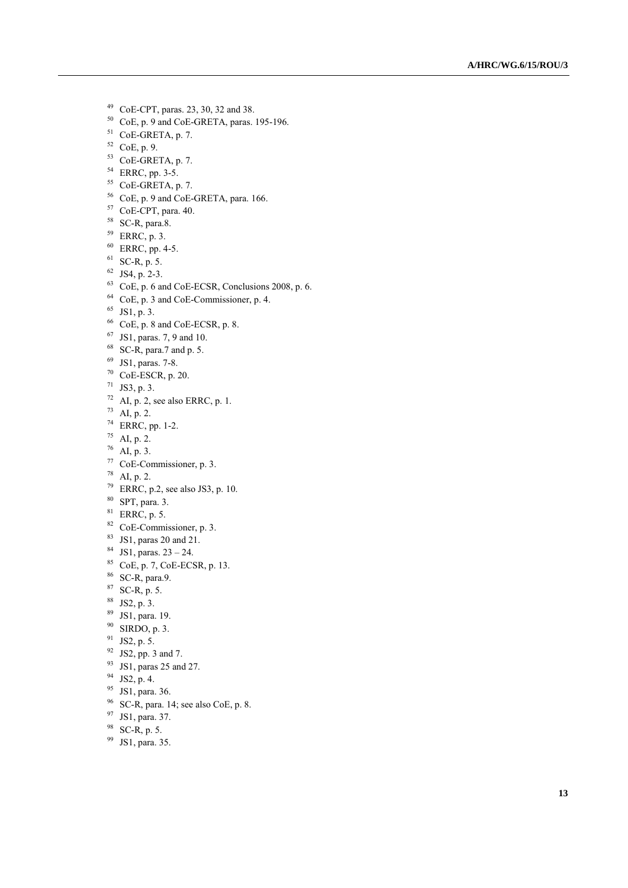- CoE -CPT, paras. 23, 30, 32 and 38.
- CoE, p. 9 and CoE-GRETA, paras. 195-196.
- CoE-GRETA, p. 7.
- CoE, p. 9.
- <sup>53</sup> CoE-GRETA, p. 7.
- <sup>54</sup> ERRC, pp. 3-5.
- CoE -GRETA, p. 7.
- CoE, p. 9 and CoE GRETA, para. 166.
- CoE -CPT, para. 40.
- SC -R, para.8.
- ERRC, p. 3.
- ERRC, pp. 4-5.
- SC-R, p. 5.
- JS4, p. 2-3.
- CoE, p. 6 and CoE-ECSR, Conclusions 2008, p. 6.
- CoE, p. 3 and CoE-Commissioner, p. 4.
- JS1, p. 3.
- CoE, p. 8 and CoE-ECSR, p. 8.
- JS1, paras. 7, 9 and 10.
- SC-R, para.7 and p. 5.
- JS1, paras. 7 -8.
- CoE-ESCR, p. 20.
- JS3, p. 3.
- AI, p. 2, see also ERRC, p. 1.
- AI, p. 2.
- <sup>74</sup> ERRC, pp. 1-2.
- AI, p. 2.
- AI, p. 3.
- CoE -Commissioner, p. 3.
- AI, p. 2.
- ERRC, p.2, see also JS3, p. 10.
- SPT, para. 3.
- ERRC, p. 5.
- CoE -Commissioner, p. 3.
- JS1, paras 20 and 21.
- <sup>84</sup> JS1, paras.  $23 24$ .
- CoE, p. 7, CoE -ECSR, p. 13.
- SC -R, para.9.
- ${}^{87}$  SC-R, p. 5.
- JS2, p. 3.
- JS1, para. 19.
- SIRDO, p. 3.
- JS2, p. 5.
- JS2, pp. 3 and 7.
- JS1, paras 25 and 27.
- JS2, p. 4.
- <sup>95</sup> JS1, para. 36.
- SC-R, para. 14; see also CoE, p. 8.
- JS1, para. 37.
- SC-R, p. 5.
- JS1, para. 35.